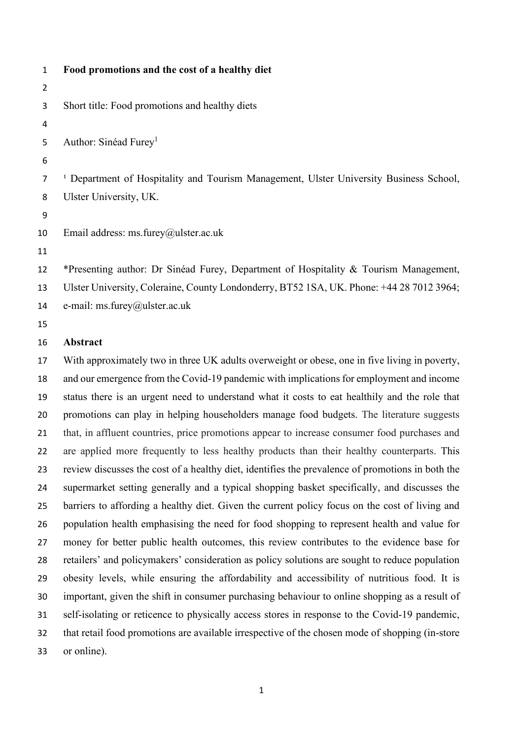| $\mathbf{1}$   | Food promotions and the cost of a healthy diet                                                    |
|----------------|---------------------------------------------------------------------------------------------------|
| $\overline{2}$ |                                                                                                   |
| 3              | Short title: Food promotions and healthy diets                                                    |
| 4              |                                                                                                   |
| 5              | Author: Sinéad Furey <sup>1</sup>                                                                 |
| 6              |                                                                                                   |
| 7              | <sup>1</sup> Department of Hospitality and Tourism Management, Ulster University Business School, |
| 8              | Ulster University, UK.                                                                            |
| 9              |                                                                                                   |
| 10             | Email address: ms.furey@ulster.ac.uk                                                              |
| 11             |                                                                                                   |
| 12             | *Presenting author: Dr Sinéad Furey, Department of Hospitality & Tourism Management,              |
| 13             | Ulster University, Coleraine, County Londonderry, BT52 1SA, UK. Phone: +44 28 7012 3964;          |
| 14             | e-mail: ms.furey@ulster.ac.uk                                                                     |
| 15             |                                                                                                   |
| 16             | Abstract                                                                                          |
| 17             | With approximately two in three UK adults overweight or obese, one in five living in poverty,     |

 and our emergence from the Covid-19 pandemic with implications for employment and income status there is an urgent need to understand what it costs to eat healthily and the role that promotions can play in helping householders manage food budgets. The literature suggests that, in affluent countries, price promotions appear to increase consumer food purchases and are applied more frequently to less healthy products than their healthy counterparts. This review discusses the cost of a healthy diet, identifies the prevalence of promotions in both the supermarket setting generally and a typical shopping basket specifically, and discusses the barriers to affording a healthy diet. Given the current policy focus on the cost of living and population health emphasising the need for food shopping to represent health and value for money for better public health outcomes, this review contributes to the evidence base for retailers' and policymakers' consideration as policy solutions are sought to reduce population obesity levels, while ensuring the affordability and accessibility of nutritious food. It is important, given the shift in consumer purchasing behaviour to online shopping as a result of self-isolating or reticence to physically access stores in response to the Covid-19 pandemic, that retail food promotions are available irrespective of the chosen mode of shopping (in-store or online).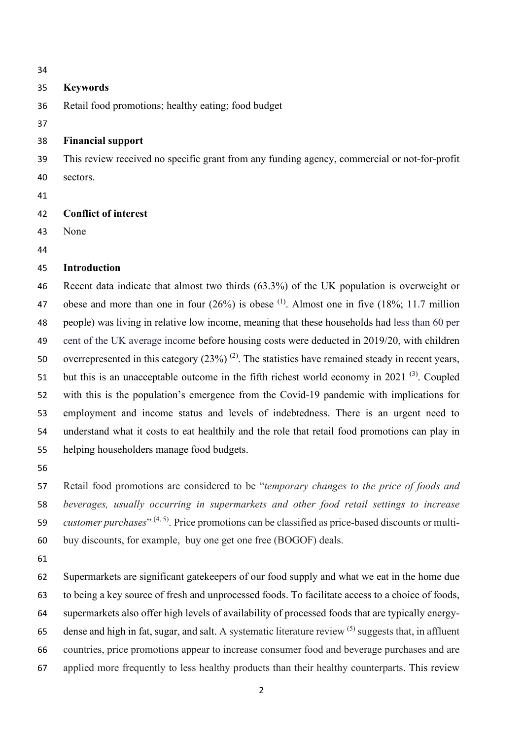### **Keywords**

Retail food promotions; healthy eating; food budget

#### **Financial support**

 This review received no specific grant from any funding agency, commercial or not-for-profit sectors.

# **Conflict of interest**

- None
- 

# **Introduction**

 Recent data indicate that almost two thirds (63.3%) of the UK population is overweight or 47 obese and more than one in four  $(26%)$  is obese <sup>(1)</sup>. Almost one in five  $(18%; 11.7$  million people) was living in relative low income, meaning that these households had less than 60 per cent of the UK average income before housing costs were deducted in 2019/20, with children 50 overrepresented in this category  $(23%)^{(2)}$ . The statistics have remained steady in recent years, 51 but this is an unacceptable outcome in the fifth richest world economy in 2021  $(3)$ . Coupled with this is the population's emergence from the Covid-19 pandemic with implications for employment and income status and levels of indebtedness. There is an urgent need to understand what it costs to eat healthily and the role that retail food promotions can play in helping householders manage food budgets.

 Retail food promotions are considered to be "*temporary changes to the price of foods and beverages, usually occurring in supermarkets and other food retail settings to increase customer purchases*" (4, 5). Price promotions can be classified as price-based discounts or multi-buy discounts, for example, buy one get one free (BOGOF) deals.

 Supermarkets are significant gatekeepers of our food supply and what we eat in the home due to being a key source of fresh and unprocessed foods. To facilitate access to a choice of foods, supermarkets also offer high levels of availability of processed foods that are typically energy-65 dense and high in fat, sugar, and salt. A systematic literature review  $(5)$  suggests that, in affluent countries, price promotions appear to increase consumer food and beverage purchases and are applied more frequently to less healthy products than their healthy counterparts. This review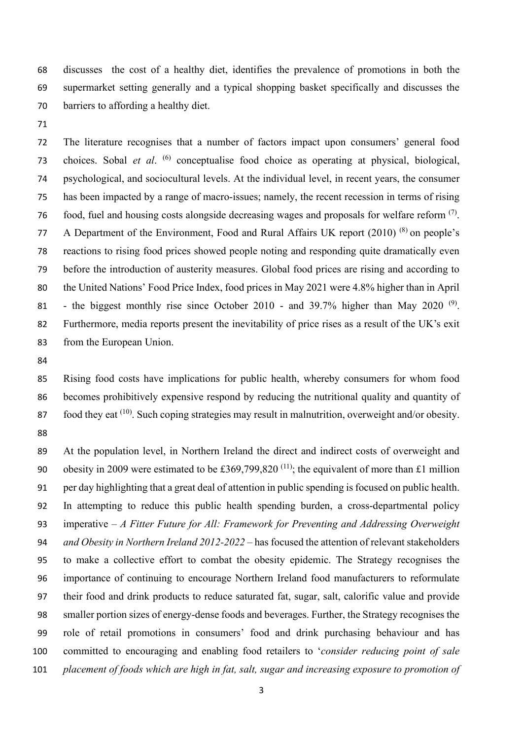discusses the cost of a healthy diet, identifies the prevalence of promotions in both the supermarket setting generally and a typical shopping basket specifically and discusses the barriers to affording a healthy diet.

 The literature recognises that a number of factors impact upon consumers' general food 73 choices. Sobal *et al.* <sup>(6)</sup> conceptualise food choice as operating at physical, biological, psychological, and sociocultural levels. At the individual level, in recent years, the consumer has been impacted by a range of macro-issues; namely, the recent recession in terms of rising 76 food, fuel and housing costs alongside decreasing wages and proposals for welfare reform  $(7)$ . 77 A Department of the Environment, Food and Rural Affairs UK report  $(2010)^{(8)}$  on people's reactions to rising food prices showed people noting and responding quite dramatically even before the introduction of austerity measures. Global food prices are rising and [according](http://www.fao.org/worldfoodsituation/foodpricesindex/en/) to the United Nations' Food Price Index, food prices in May 2021 were 4.8% higher than in April 81 - the biggest monthly rise since October 2010 - and 39.7% higher than May 2020<sup>(9)</sup>. Furthermore, media reports present the inevitability of price rises as a result of the UK's exit from the European Union.

 Rising food costs have implications for public health, whereby consumers for whom food becomes prohibitively expensive respond by reducing the nutritional quality and quantity of 87 . food they eat  $(10)$ . Such coping strategies may result in malnutrition, overweight and/or obesity. 

 At the population level, in Northern Ireland the direct and indirect costs of overweight and 90 obesity in 2009 were estimated to be £369,799,820<sup>(11)</sup>; the equivalent of more than £1 million per day highlighting that a great deal of attention in public spending is focused on public health. In attempting to reduce this public health spending burden, a cross-departmental policy imperative – *A Fitter Future for All: Framework for Preventing and Addressing Overweight and Obesity in Northern Ireland 2012-2022* – has focused the attention of relevant stakeholders to make a collective effort to combat the obesity epidemic. The Strategy recognises the importance of continuing to encourage Northern Ireland food manufacturers to reformulate their food and drink products to reduce saturated fat, sugar, salt, calorific value and provide smaller portion sizes of energy-dense foods and beverages. Further, the Strategy recognises the role of retail promotions in consumers' food and drink purchasing behaviour and has committed to encouraging and enabling food retailers to '*consider reducing point of sale placement of foods which are high in fat, salt, sugar and increasing exposure to promotion of*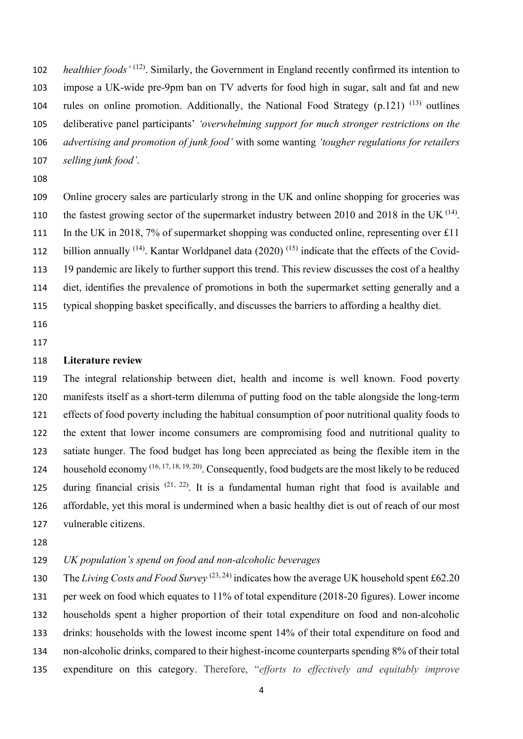*healthier foods'* <sup>(12)</sup>. Similarly, the Government in England recently confirmed its intention to impose a UK-wide pre-9pm ban on TV adverts for food high in sugar, salt and fat and new 104 rules on online promotion. Additionally, the National Food Strategy  $(p.121)^{(13)}$  outlines deliberative panel participants' *'overwhelming support for much stronger restrictions on the advertising and promotion of junk food'* with some wanting *'tougher regulations for retailers selling junk food'*.

 Online grocery sales are particularly strong in the UK and online shopping for groceries was 110 the fastest growing sector of the supermarket industry between 2010 and 2018 in the UK  $^{(14)}$ . 111 In the UK in 2018, 7% of supermarket shopping was conducted online, representing over £11 112 billion annually  $(14)$ . Kantar Worldpanel data (2020)  $(15)$  indicate that the effects of the Covid- 19 pandemic are likely to further support this trend. This review discusses the cost of a healthy diet, identifies the prevalence of promotions in both the supermarket setting generally and a typical shopping basket specifically, and discusses the barriers to affording a healthy diet.

- 
- 

#### **Literature review**

 The integral relationship between diet, health and income is well known. Food poverty manifests itself as a short-term dilemma of putting food on the table alongside the long-term effects of food poverty including the habitual consumption of poor nutritional quality foods to the extent that lower income consumers are compromising food and nutritional quality to satiate hunger. The food budget has long been appreciated as being the flexible item in the 124 household economy (16, 17, 18, 19, 20). Consequently, food budgets are the most likely to be reduced 125 during financial crisis  $(21, 22)$ . It is a fundamental human right that food is available and affordable, yet this moral is undermined when a basic healthy diet is out of reach of our most vulnerable citizens.

# *UK population's spend on food and non-alcoholic beverages*

130 The *Living Costs and Food Survey*  $(23, 24)$  indicates how the average UK household spent £62.20 per week on food which equates to 11% of total expenditure (2018-20 figures). Lower income households spent a higher proportion of their total expenditure on food and non-alcoholic drinks: households with the lowest income spent 14% of their total expenditure on food and non-alcoholic drinks, compared to their highest-income counterparts spending 8% of their total expenditure on this category. Therefore, "*efforts to effectively and equitably improve*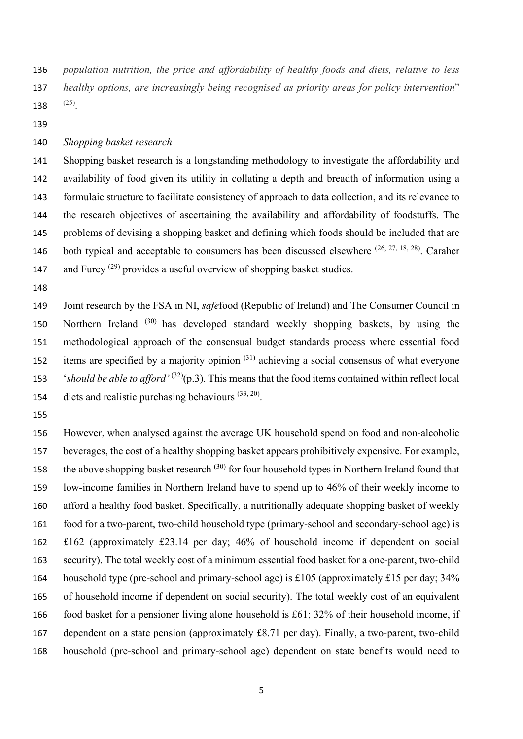*population nutrition, the price and affordability of healthy foods and diets, relative to less healthy options, are increasingly being recognised as priority areas for policy intervention*" 138  $(25)$ .

#### *Shopping basket research*

 Shopping basket research is a longstanding methodology to investigate the affordability and availability of food given its utility in collating a depth and breadth of information using a formulaic structure to facilitate consistency of approach to data collection, and its relevance to the research objectives of ascertaining the availability and affordability of foodstuffs. The problems of devising a shopping basket and defining which foods should be included that are 146 both typical and acceptable to consumers has been discussed elsewhere  $(26, 27, 18, 28)$ . Caraher 147 and Furey  $(29)$  provides a useful overview of shopping basket studies.

 Joint research by the FSA in NI, *safe*food (Republic of Ireland) and The Consumer Council in 150 Northern Ireland <sup>(30)</sup> has developed standard weekly shopping baskets, by using the methodological approach of the consensual budget standards process where essential food 152 items are specified by a majority opinion  $(31)$  achieving a social consensus of what everyone *'should be able to afford'*  $(32)(p.3)$ . This means that the food items contained within reflect local 154 diets and realistic purchasing behaviours  $(33, 20)$ .

 However, when analysed against the average UK household spend on food and non-alcoholic beverages, the cost of a healthy shopping basket appears prohibitively expensive. For example, the above shopping basket research  $(30)$  for four household types in Northern Ireland found that low-income families in Northern Ireland have to spend up to 46% of their weekly income to afford a healthy food basket. Specifically, a nutritionally adequate shopping basket of weekly food for a two-parent, two-child household type (primary-school and secondary-school age) is £162 (approximately £23.14 per day; 46% of household income if dependent on social security). The total weekly cost of a minimum essential food basket for a one-parent, two-child 164 household type (pre-school and primary-school age) is £105 (approximately £15 per day;  $34\%$  of household income if dependent on social security). The total weekly cost of an equivalent food basket for a pensioner living alone household is £61; 32% of their household income, if dependent on a state pension (approximately £8.71 per day). Finally, a two-parent, two-child household (pre-school and primary-school age) dependent on state benefits would need to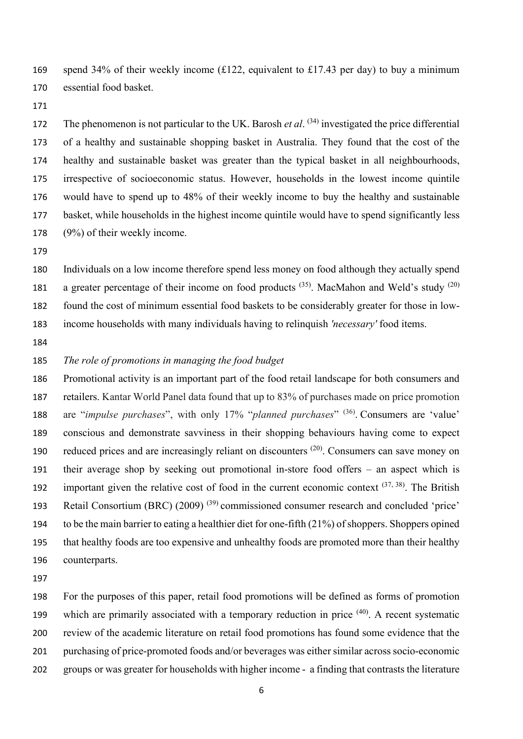169 spend 34% of their weekly income (£122, equivalent to £17.43 per day) to buy a minimum essential food basket.

172 The phenomenon is not particular to the UK. Barosh *et al.* <sup>(34)</sup> investigated the price differential of a healthy and sustainable shopping basket in Australia. They found that the cost of the healthy and sustainable basket was greater than the typical basket in all neighbourhoods, irrespective of socioeconomic status. However, households in the lowest income quintile would have to spend up to 48% of their weekly income to buy the healthy and sustainable basket, while households in the highest income quintile would have to spend significantly less (9%) of their weekly income.

 Individuals on a low income therefore spend less money on food although they actually spend 181 a greater percentage of their income on food products  $(35)$ . MacMahon and Weld's study  $(20)$  found the cost of minimum essential food baskets to be considerably greater for those in low-income households with many individuals having to relinquish *'necessary'* food items.

# *The role of promotions in managing the food budget*

 Promotional activity is an important part of the food retail landscape for both consumers and retailers. Kantar World Panel data found that up to 83% of purchases made on price promotion 188 are "*impulse purchases*", with only 17% "*planned purchases*" (36). Consumers are 'value' conscious and demonstrate savviness in their shopping behaviours having come to expect 190 reduced prices and are increasingly reliant on discounters  $(20)$ . Consumers can save money on their average shop by seeking out promotional in-store food offers – an aspect which is 192 important given the relative cost of food in the current economic context  $(37, 38)$ . The British 193 Retail Consortium (BRC)  $(2009)^{(39)}$  commissioned consumer research and concluded 'price' to be the main barrier to eating a healthier diet for one-fifth (21%) of shoppers. Shoppers opined that healthy foods are too expensive and unhealthy foods are promoted more than their healthy counterparts.

 For the purposes of this paper, retail food promotions will be defined as forms of promotion 199 which are primarily associated with a temporary reduction in price  $(40)$ . A recent systematic review of the academic literature on retail food promotions has found some evidence that the purchasing of price-promoted foods and/or beverages was either similar across socio-economic groups or was greater for households with higher income - a finding that contrasts the literature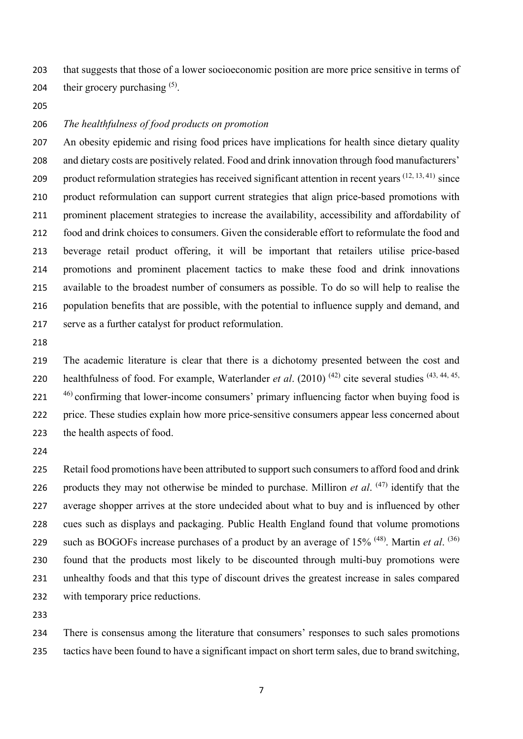that suggests that those of a lower socioeconomic position are more price sensitive in terms of 204 their grocery purchasing  $(5)$ .

# *The healthfulness of food products on promotion*

 An obesity epidemic and rising food prices have implications for health since dietary quality 208 and dietary costs are positively related. Food and drink innovation through food manufacturers' 209 product reformulation strategies has received significant attention in recent years  $(12, 13, 41)$  since product reformulation can support current strategies that align price-based promotions with prominent placement strategies to increase the availability, accessibility and affordability of food and drink choices to consumers. Given the considerable effort to reformulate the food and beverage retail product offering, it will be important that retailers utilise price-based promotions and prominent placement tactics to make these food and drink innovations available to the broadest number of consumers as possible. To do so will help to realise the population benefits that are possible, with the potential to influence supply and demand, and serve as a further catalyst for product reformulation.

 The academic literature is clear that there is a dichotomy presented between the cost and 220 healthfulness of food. For example, Waterlander *et al.* (2010)<sup>(42)</sup> cite several studies<sup>(43, 44, 45, 220)</sup> ) confirming that lower-income consumers' primary influencing factor when buying food is price. These studies explain how more price-sensitive consumers appear less concerned about the health aspects of food.

225 Retail food promotions have been attributed to support such consumers to afford food and drink 226 products they may not otherwise be minded to purchase. Milliron *et al.*  $(47)$  identify that the average shopper arrives at the store undecided about what to buy and is influenced by other cues such as displays and packaging. Public Health England found that volume promotions 229 such as BOGOFs increase purchases of a product by an average of 15% <sup>(48)</sup>. Martin *et al.* <sup>(36)</sup> found that the products most likely to be discounted through multi-buy promotions were unhealthy foods and that this type of discount drives the greatest increase in sales compared with temporary price reductions.

 There is consensus among the literature that consumers' responses to such sales promotions tactics have been found to have a significant impact on short term sales, due to brand switching,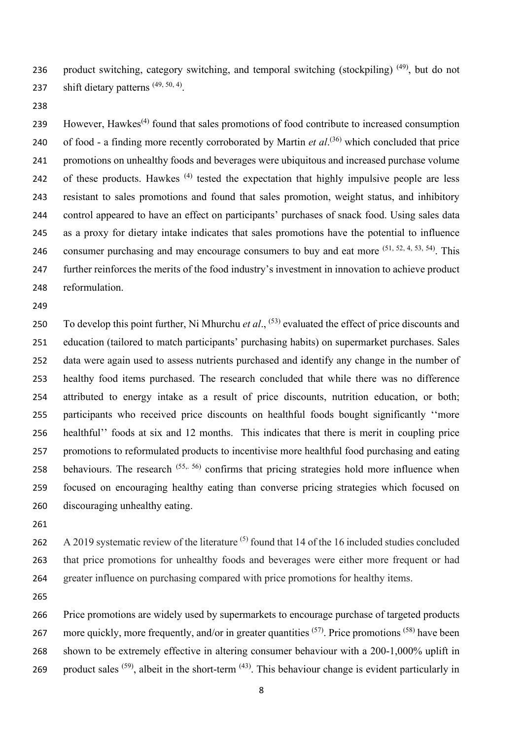236 product switching, category switching, and temporal switching (stockpiling)  $(49)$ , but do not 237 shift dietary patterns  $(49, 50, 4)$ .

239 However, Hawkes<sup> $(4)$ </sup> found that sales promotions of food contribute to increased consumption 240 of food - a finding more recently corroborated by Martin *et al*.<sup>(36)</sup> which concluded that price promotions on unhealthy foods and beverages were ubiquitous and increased purchase volume 242 of these products. Hawkes  $(4)$  tested the expectation that highly impulsive people are less resistant to sales promotions and found that sales promotion, weight status, and inhibitory control appeared to have an effect on participants' purchases of snack food. Using sales data as a proxy for dietary intake indicates that sales promotions have the potential to influence 246 consumer purchasing and may encourage consumers to buy and eat more  $(51, 52, 4, 53, 54)$ . This further reinforces the merits of the food industry's investment in innovation to achieve product reformulation.

250 To develop this point further, Ni Mhurchu *et al.*, <sup>(53)</sup> evaluated the effect of price discounts and education (tailored to match participants' purchasing habits) on supermarket purchases. Sales data were again used to assess nutrients purchased and identify any change in the number of healthy food items purchased. The research concluded that while there was no difference attributed to energy intake as a result of price discounts, nutrition education, or both; participants who received price discounts on healthful foods bought significantly ''more healthful'' foods at six and 12 months. This indicates that there is merit in coupling price promotions to reformulated products to incentivise more healthful food purchasing and eating 258 behaviours. The research  $(55, 56)$  confirms that pricing strategies hold more influence when focused on encouraging healthy eating than converse pricing strategies which focused on discouraging unhealthy eating.

262 A 2019 systematic review of the literature  $(5)$  found that 14 of the 16 included studies concluded that price promotions for unhealthy foods and beverages were either more frequent or had greater influence on purchasing compared with price promotions for healthy items.

 Price promotions are widely used by supermarkets to encourage purchase of targeted products 267 more quickly, more frequently, and/or in greater quantities  $(57)$ . Price promotions  $(58)$  have been shown to be extremely effective in altering consumer behaviour with a 200-1,000% uplift in 269 product sales  $(59)$ , albeit in the short-term  $(43)$ . This behaviour change is evident particularly in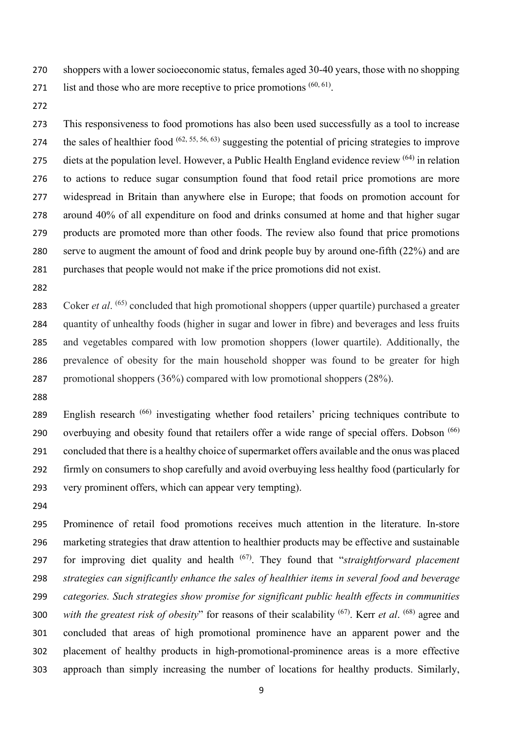shoppers with a lower socioeconomic status, females aged 30-40 years, those with no shopping 271 list and those who are more receptive to price promotions  $(60, 61)$ .

 This responsiveness to food promotions has also been used successfully as a tool to increase 274 the sales of healthier food  $(62, 55, 56, 63)$  suggesting the potential of pricing strategies to improve 275 diets at the population level. However, a Public Health England evidence review  $(64)$  in relation to actions to reduce sugar consumption found that food retail price promotions are more widespread in Britain than anywhere else in Europe; that foods on promotion account for around 40% of all expenditure on food and drinks consumed at home and that higher sugar products are promoted more than other foods. The review also found that price promotions serve to augment the amount of food and drink people buy by around one-fifth (22%) and are purchases that people would not make if the price promotions did not exist.

283 Coker *et al.* <sup>(65)</sup> concluded that high promotional shoppers (upper quartile) purchased a greater quantity of unhealthy foods (higher in sugar and lower in fibre) and beverages and less fruits and vegetables compared with low promotion shoppers (lower quartile). Additionally, the prevalence of obesity for the main household shopper was found to be greater for high promotional shoppers (36%) compared with low promotional shoppers (28%).

289 English research <sup>(66)</sup> investigating whether food retailers' pricing techniques contribute to 290 overbuying and obesity found that retailers offer a wide range of special offers. Dobson  $(66)$  concluded that there is a healthy choice of supermarket offers available and the onus was placed firmly on consumers to shop carefully and avoid overbuying less healthy food (particularly for very prominent offers, which can appear very tempting).

 Prominence of retail food promotions receives much attention in the literature. In-store marketing strategies that draw attention to healthier products may be effective and sustainable for improving diet quality and health (67) . They found that "*straightforward placement strategies can significantly enhance the sales of healthier items in several food and beverage categories. Such strategies show promise for significant public health effects in communities*  300 with the greatest risk of obesity" for reasons of their scalability <sup>(67)</sup>. Kerr *et al.* <sup>(68)</sup> agree and concluded that areas of high promotional prominence have an apparent power and the placement of healthy products in high-promotional-prominence areas is a more effective approach than simply increasing the number of locations for healthy products. Similarly,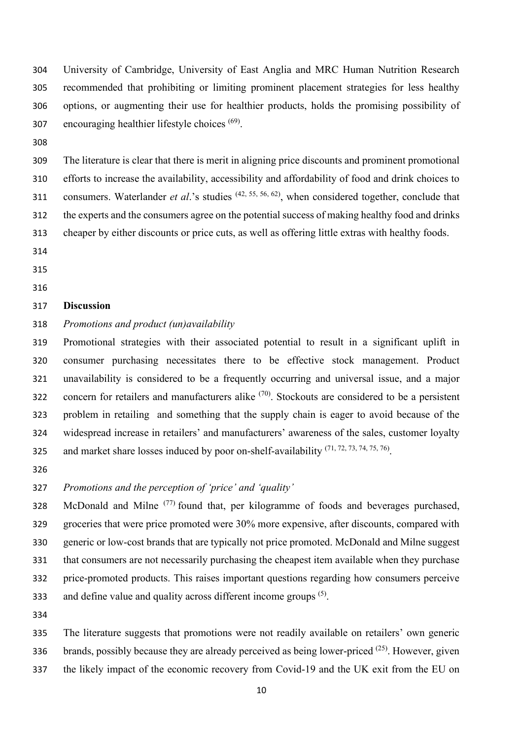University of Cambridge, University of East Anglia and MRC Human Nutrition Research recommended that prohibiting or limiting prominent placement strategies for less healthy options, or augmenting their use for healthier products, holds the promising possibility of 307 encouraging healthier lifestyle choices  $(69)$ .

 The literature is clear that there is merit in aligning price discounts and prominent promotional efforts to increase the availability, accessibility and affordability of food and drink choices to 311 consumers. Waterlander *et al.*'s studies <sup>(42, 55, 56, 62), when considered together, conclude that</sup> the experts and the consumers agree on the potential success of making healthy food and drinks cheaper by either discounts or price cuts, as well as offering little extras with healthy foods.

- 
- 
- 

#### **Discussion**

*Promotions and product (un)availability*

 Promotional strategies with their associated potential to result in a significant uplift in consumer purchasing necessitates there to be effective stock management. Product unavailability is considered to be a frequently occurring and universal issue, and a major 322 concern for retailers and manufacturers alike  $(70)$ . Stockouts are considered to be a persistent problem in retailing and something that the supply chain is eager to avoid because of the widespread increase in retailers' and manufacturers' awareness of the sales, customer loyalty 325 and market share losses induced by poor on-shelf-availability  $(71, 72, 73, 74, 75, 76)$ .

*Promotions and the perception of 'price' and 'quality'*

328 McDonald and Milne  $(77)$  found that, per kilogramme of foods and beverages purchased, groceries that were price promoted were 30% more expensive, after discounts, compared with generic or low-cost brands that are typically not price promoted. McDonald and Milne suggest that consumers are not necessarily purchasing the cheapest item available when they purchase price-promoted products. This raises important questions regarding how consumers perceive 333 and define value and quality across different income groups  $(5)$ .

 The literature suggests that promotions were not readily available on retailers' own generic 336 brands, possibly because they are already perceived as being lower-priced  $(25)$ . However, given the likely impact of the economic recovery from Covid-19 and the UK exit from the EU on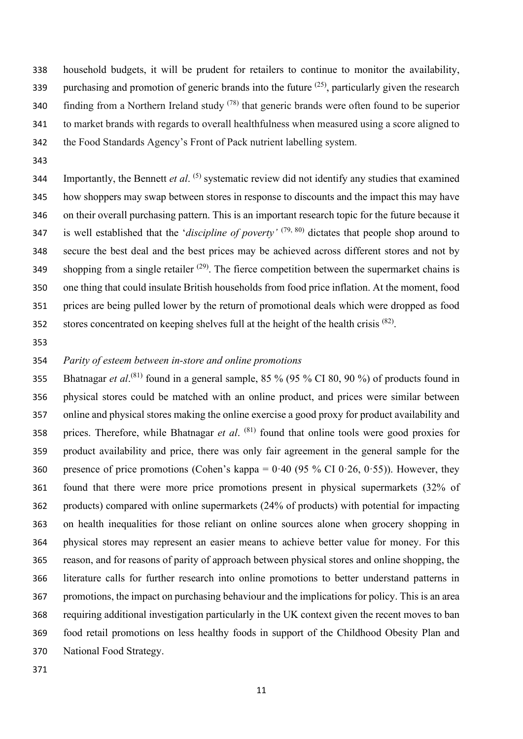household budgets, it will be prudent for retailers to continue to monitor the availability, 339 purchasing and promotion of generic brands into the future  $(25)$ , particularly given the research 340 finding from a Northern Ireland study  $(78)$  that generic brands were often found to be superior to market brands with regards to overall healthfulness when measured using a score aligned to the Food Standards Agency's Front of Pack nutrient labelling system.

344 Importantly, the Bennett *et al.* <sup>(5)</sup> systematic review did not identify any studies that examined how shoppers may swap between stores in response to discounts and the impact this may have on their overall purchasing pattern. This is an important research topic for the future because it 347 is well established that the '*discipline of poverty'* (79, 80) dictates that people shop around to secure the best deal and the best prices may be achieved across different stores and not by shopping from a single retailer  $(29)$ . The fierce competition between the supermarket chains is one thing that could insulate British households from food price inflation. At the moment, food prices are being pulled lower by the return of promotional deals which were dropped as food stores concentrated on keeping shelves full at the height of the health crisis  $(82)$ .

## *Parity of esteem between in-store and online promotions*

355 Bhatnagar *et al*.<sup>(81)</sup> found in a general sample, 85 % (95 % CI 80, 90 %) of products found in physical stores could be matched with an online product, and prices were similar between online and physical stores making the online exercise a good proxy for product availability and 358 prices. Therefore, while Bhatnagar *et al.* <sup>(81)</sup> found that online tools were good proxies for product availability and price, there was only fair agreement in the general sample for the 360 presence of price promotions (Cohen's kappa =  $0.40$  (95 % CI 0.26, 0.55)). However, they found that there were more price promotions present in physical supermarkets (32% of products) compared with online supermarkets (24% of products) with potential for impacting on health inequalities for those reliant on online sources alone when grocery shopping in physical stores may represent an easier means to achieve better value for money. For this reason, and for reasons of parity of approach between physical stores and online shopping, the literature calls for further research into online promotions to better understand patterns in promotions, the impact on purchasing behaviour and the implications for policy. This is an area requiring additional investigation particularly in the UK context given the recent moves to ban food retail promotions on less healthy foods in support of the Childhood Obesity Plan and National Food Strategy.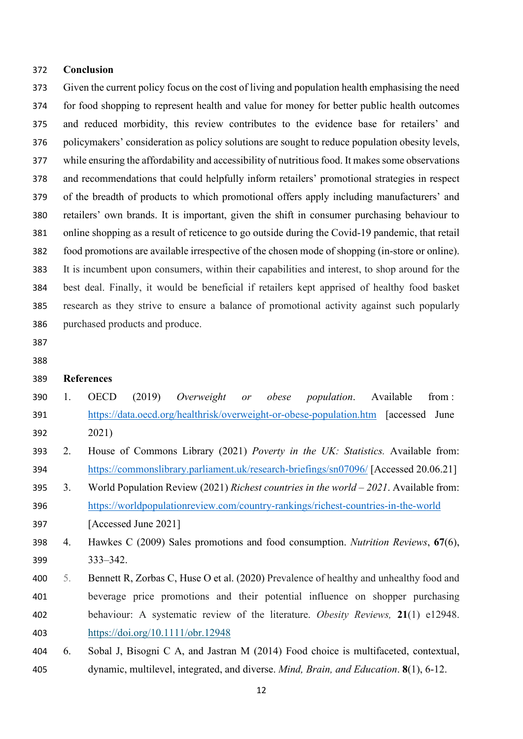#### **Conclusion**

 Given the current policy focus on the cost of living and population health emphasising the need for food shopping to represent health and value for money for better public health outcomes and reduced morbidity, this review contributes to the evidence base for retailers' and policymakers' consideration as policy solutions are sought to reduce population obesity levels, while ensuring the affordability and accessibility of nutritious food. It makes some observations and recommendations that could helpfully inform retailers' promotional strategies in respect of the breadth of products to which promotional offers apply including manufacturers' and retailers' own brands. It is important, given the shift in consumer purchasing behaviour to online shopping as a result of reticence to go outside during the Covid-19 pandemic, that retail food promotions are available irrespective of the chosen mode of shopping (in-store or online). It is incumbent upon consumers, within their capabilities and interest, to shop around for the best deal. Finally, it would be beneficial if retailers kept apprised of healthy food basket research as they strive to ensure a balance of promotional activity against such popularly purchased products and produce.

- 
- 

### **References**

- 1. OECD (2019) *Overweight or obese population*. Available from : <https://data.oecd.org/healthrisk/overweight-or-obese-population.htm> [accessed June 2021)
- 2. House of Commons Library (2021) *Poverty in the UK: Statistics.* Available from: <https://commonslibrary.parliament.uk/research-briefings/sn07096/> [Accessed 20.06.21]
- 3. World Population Review (2021) *Richest countries in the world – 2021*. Available from: <https://worldpopulationreview.com/country-rankings/richest-countries-in-the-world> [Accessed June 2021]
- 4. Hawkes C (2009) Sales promotions and food consumption. *Nutrition Reviews*, **67**(6), 333–342.
- 5. Bennett R, Zorbas C, Huse O et al. (2020) Prevalence of healthy and unhealthy food and beverage price promotions and their potential influence on shopper purchasing behaviour: A systematic review of the literature. *Obesity Reviews,* **21**(1) e12948. <https://doi.org/10.1111/obr.12948>
- 6. Sobal J, Bisogni C A, and Jastran M (2014) Food choice is multifaceted, contextual, dynamic, multilevel, integrated, and diverse. *Mind, Brain, and Education*. **8**(1), 6-12.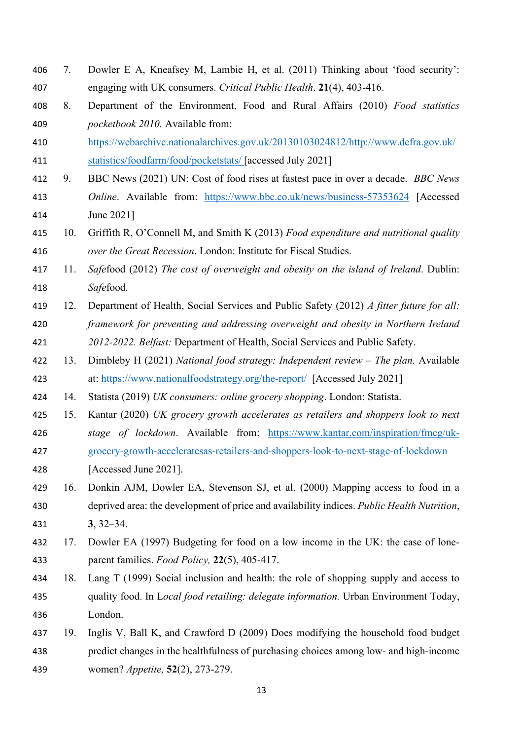- 7. Dowler E A, Kneafsey M, Lambie H, et al. (2011) Thinking about 'food security': engaging with UK consumers. *Critical Public Health*. **21**(4), 403-416.
- 8. Department of the Environment, Food and Rural Affairs (2010) *Food statistics pocketbook 2010.* Available from:
- [https://webarchive.nationalarchives.gov.uk/20130103024812/http://www.defra.gov.uk/](https://webarchive.nationalarchives.gov.uk/20130103024812/http:/www.defra.gov.uk/statistics/foodfarm/food/pocketstats/) [statistics/foodfarm/food/pocketstats/](https://webarchive.nationalarchives.gov.uk/20130103024812/http:/www.defra.gov.uk/statistics/foodfarm/food/pocketstats/) [accessed July 2021]
- 9. BBC News (2021) UN: Cost of food rises at fastest pace in over a decade. *BBC News Online*. Available from: <https://www.bbc.co.uk/news/business-57353624> [Accessed June 2021]
- 10. Griffith R, O'Connell M, and Smith K (2013) *Food expenditure and nutritional quality over the Great Recession*. London: Institute for Fiscal Studies.
- 11. *Safe*food (2012) *The cost of overweight and obesity on the island of Ireland*. Dublin: *Safe*food.
- 12. Department of Health, Social Services and Public Safety (2012) *A fitter future for all: framework for preventing and addressing overweight and obesity in Northern Ireland 2012-2022. Belfast:* Department of Health, Social Services and Public Safety.
- 13. Dimbleby H (2021) *National food strategy: Independent review – The plan.* Available at:<https://www.nationalfoodstrategy.org/the-report/>[Accessed July 2021]
- 14. Statista (2019) *UK consumers: online grocery shopping*. London: Statista.
- 15. Kantar (2020) *UK grocery growth accelerates as retailers and shoppers look to next stage of lockdown*. Available from: [https://www.kantar.com/inspiration/fmcg/uk-](https://www.kantar.com/inspiration/fmcg/uk-grocery-growth-acceleratesas-retailers-and-shoppers-look-to-next-stage-of-lockdown)[grocery-growth-acceleratesas-retailers-and-shoppers-look-to-next-stage-of-lockdown](https://www.kantar.com/inspiration/fmcg/uk-grocery-growth-acceleratesas-retailers-and-shoppers-look-to-next-stage-of-lockdown)
- [Accessed June 2021].
- 16. Donkin AJM, Dowler EA, Stevenson SJ, et al. (2000) Mapping access to food in a deprived area: the development of price and availability indices. *Public Health Nutrition*, **3**, 32–34.
- 17. Dowler EA (1997) Budgeting for food on a low income in the UK: the case of lone-parent families. *Food Policy,* **22**(5), 405-417.
- 18. Lang T (1999) Social inclusion and health: the role of shopping supply and access to quality food. In L*ocal food retailing: delegate information.* Urban Environment Today, London.
- 19. Inglis V, Ball K, and Crawford D (2009) Does modifying the household food budget predict changes in the healthfulness of purchasing choices among low- and high-income women? *Appetite,* **52**(2), 273-279.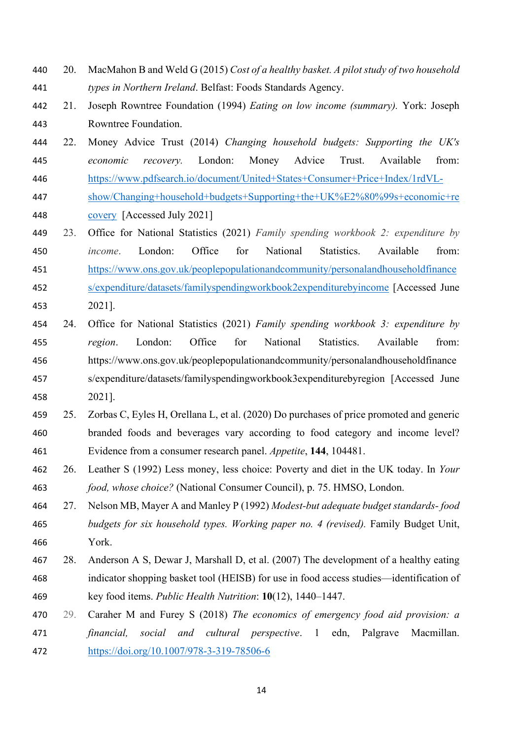- 20. MacMahon B and Weld G (2015) *Cost of a healthy basket. A pilot study of two household types in Northern Ireland*. Belfast: Foods Standards Agency.
- 21. Joseph Rowntree Foundation (1994) *Eating on low income (summary).* York: Joseph Rowntree Foundation.
- 22. Money Advice Trust (2014) *Changing household budgets: Supporting the UK's economic recovery.* London: Money Advice Trust. Available from: [https://www.pdfsearch.io/document/United+States+Consumer+Price+Index/1rdVL-](https://www.pdfsearch.io/document/United+States+Consumer+Price+Index/1rdVL-show/Changing+household+budgets+Supporting+the+UK%E2%80%99s+economic+recovery)
- [show/Changing+household+budgets+Supporting+the+UK%E2%80%99s+economic+re](https://www.pdfsearch.io/document/United+States+Consumer+Price+Index/1rdVL-show/Changing+household+budgets+Supporting+the+UK%E2%80%99s+economic+recovery) [covery](https://www.pdfsearch.io/document/United+States+Consumer+Price+Index/1rdVL-show/Changing+household+budgets+Supporting+the+UK%E2%80%99s+economic+recovery) [Accessed July 2021]
- 23. Office for National Statistics (2021) *Family spending workbook 2: expenditure by income*. London: Office for National Statistics. Available from: [https://www.ons.gov.uk/peoplepopulationandcommunity/personalandhouseholdfinance](https://www.ons.gov.uk/peoplepopulationandcommunity/personalandhouseholdfinances/expenditure/datasets/familyspendingworkbook2expenditurebyincome)
- [s/expenditure/datasets/familyspendingworkbook2expenditurebyincome](https://www.ons.gov.uk/peoplepopulationandcommunity/personalandhouseholdfinances/expenditure/datasets/familyspendingworkbook2expenditurebyincome) [Accessed June 2021].
- 24. Office for National Statistics (2021) *Family spending workbook 3: expenditure by region*. London: Office for National Statistics. Available from: [https://www.ons.gov.uk/peoplepopulationandcommunity/personalandhouseholdfinance](https://www.ons.gov.uk/peoplepopulationandcommunity/personalandhouseholdfinances/expenditure/datasets/familyspendingworkbook3expenditurebyregion) [s/expenditure/datasets/familyspendingworkbook3expenditurebyregion](https://www.ons.gov.uk/peoplepopulationandcommunity/personalandhouseholdfinances/expenditure/datasets/familyspendingworkbook3expenditurebyregion) [Accessed June 2021].
- 25. Zorbas C, Eyles H, Orellana L, et al. (2020) Do purchases of price promoted and generic branded foods and beverages vary according to food category and income level? Evidence from a consumer research panel. *Appetite*, **144**, 104481.
- 26. Leather S (1992) Less money, less choice: Poverty and diet in the UK today. In *Your food, whose choice?* (National Consumer Council), p. 75. HMSO, London.
- 27. Nelson MB, Mayer A and Manley P (1992) *Modest-but adequate budget standards- food budgets for six household types. Working paper no. 4 (revised).* Family Budget Unit, York.
- 28. Anderson A S, Dewar J, Marshall D, et al. (2007) The development of a healthy eating indicator shopping basket tool (HEISB) for use in food access studies—identification of key food items. *Public Health Nutrition*: **10**(12), 1440–1447.
- 29. Caraher M and Furey S (2018) *The economics of emergency food aid provision: a financial, social and cultural perspective*. 1 edn, Palgrave Macmillan. <https://doi.org/10.1007/978-3-319-78506-6>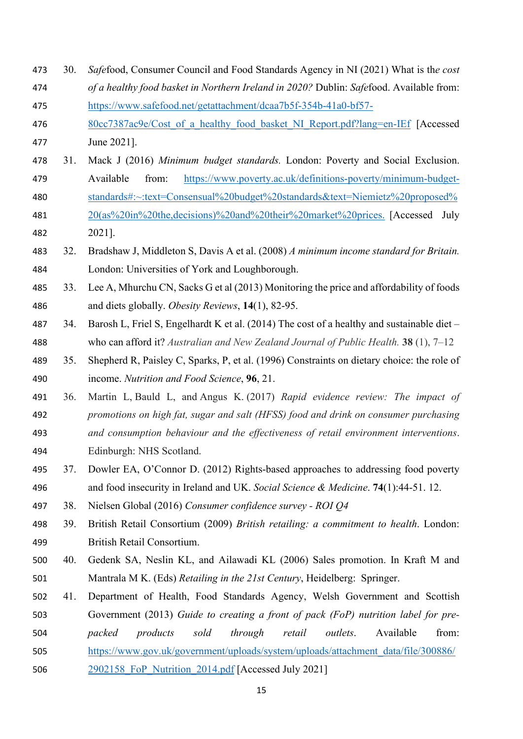- 30. *Safe*food, Consumer Council and Food Standards Agency in NI (2021) What is th*e cost of a healthy food basket in Northern Ireland in 2020?* Dublin: *Safe*food. Available from: [https://www.safefood.net/getattachment/dcaa7b5f-354b-41a0-bf57-](http://www.safefood.eu/SafeFood/media/SafeFoodLibrary/Documents/Publications/Research%20Reports/What-is-the-cost-of-a-healthy-food-basket-in-Northern-Ireland-in-2016.pdf) 476 80cc7387ac9e/Cost of a healthy food basket NI Report.pdf?lang=en-IEf [Accessed June 2021]. 31. Mack J (2016) *Minimum budget standards.* London: Poverty and Social Exclusion. Available from: [https://www.poverty.ac.uk/definitions-poverty/minimum-budget-](https://www.poverty.ac.uk/definitions-poverty/minimum-budget-standards#:%7E:text=Consensual%20budget%20standards&text=Niemietz%20proposed%20(as%20in%20the,decisions)%20and%20their%20market%20prices.) [standards#:~:text=Consensual%20budget%20standards&text=Niemietz%20proposed%](https://www.poverty.ac.uk/definitions-poverty/minimum-budget-standards#:%7E:text=Consensual%20budget%20standards&text=Niemietz%20proposed%20(as%20in%20the,decisions)%20and%20their%20market%20prices.) [20\(as%20in%20the,decisions\)%20and%20their%20market%20prices.](https://www.poverty.ac.uk/definitions-poverty/minimum-budget-standards#:%7E:text=Consensual%20budget%20standards&text=Niemietz%20proposed%20(as%20in%20the,decisions)%20and%20their%20market%20prices.) [Accessed July 2021]. 32. Bradshaw J, Middleton S, Davis A et al. (2008) *A minimum income standard for Britain.*  London: Universities of York and Loughborough. 33. Lee A, Mhurchu CN, Sacks G et al (2013) Monitoring the price and affordability of foods and diets globally. *Obesity Reviews*, **14**(1), 82-95. 34. Barosh L, Friel S, Engelhardt K et al. (2014) The cost of a healthy and sustainable diet – who can afford it? *Australian and New Zealand Journal of Public Health.* **38** (1), 7–12 35. Shepherd R, Paisley C, Sparks, P, et al. (1996) Constraints on dietary choice: the role of income. *Nutrition and Food Science*, **96**, 21. 36. Martin L, Bauld L, and Angus K. (2017) *Rapid evidence review: The impact of promotions on high fat, sugar and salt (HFSS) food and drink on consumer purchasing and consumption behaviour and the effectiveness of retail environment interventions*. Edinburgh: NHS Scotland. 37. Dowler EA, O'Connor D. (2012) Rights-based approaches to addressing food poverty and food insecurity in Ireland and UK. *Social Science & Medicine*. **74**(1):44-51. 12. 38. Nielsen Global (2016) *Consumer confidence survey - ROI Q4* 39. British Retail Consortium (2009) *British retailing: a commitment to health*. London: British Retail Consortium. 40. Gedenk SA, Neslin KL, and Ailawadi KL (2006) Sales promotion. In Kraft M and
	- Mantrala M K. (Eds) *Retailing in the 21st Century*, Heidelberg: Springer.
	- 41. Department of Health, Food Standards Agency, Welsh Government and Scottish Government (2013) *Guide to creating a front of pack (FoP) nutrition label for pre-*
	- *packed products sold through retail outlets*. Available from:
	- [https://www.gov.uk/government/uploads/system/uploads/attachment\\_data/file/300886/](https://www.gov.uk/government/uploads/system/uploads/attachment_data/file/300886/2902158_FoP_Nutrition_2014.pdf)
	- [2902158\\_FoP\\_Nutrition\\_2014.pdf](https://www.gov.uk/government/uploads/system/uploads/attachment_data/file/300886/2902158_FoP_Nutrition_2014.pdf) [Accessed July 2021]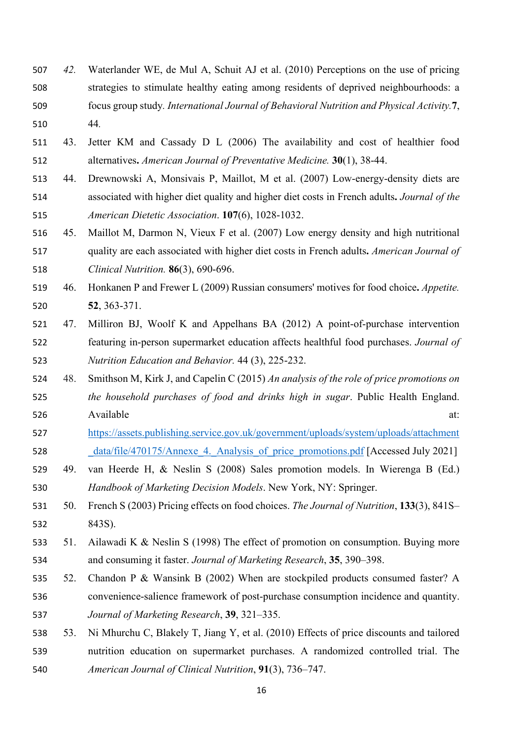- *42.* Waterlander WE, de Mul A, Schuit AJ et al. (2010) Perceptions on the use of pricing strategies to stimulate healthy eating among residents of deprived neighbourhoods: a focus group study*. International Journal of Behavioral Nutrition and Physical Activity.***7**, 44*.*
- 43. Jetter KM and Cassady D L (2006) The availability and cost of healthier food alternatives**.** *American Journal of Preventative Medicine.* **30**(1), 38-44.
- 44. Drewnowski A, Monsivais P, Maillot, M et al. (2007) Low-energy-density diets are associated with higher diet quality and higher diet costs in French adults**.** *Journal of the American Dietetic Association*. **107**(6), 1028-1032.
- 45. Maillot M, Darmon N, Vieux F et al. (2007) Low energy density and high nutritional quality are each associated with higher diet costs in French adults**.** *American Journal of Clinical Nutrition.* **86**(3), 690-696.
- 46. Honkanen P and Frewer L (2009) Russian consumers' motives for food choice**.** *Appetite.* **52**, 363-371.
- 47. Milliron BJ, Woolf K and Appelhans BA (2012) A point-of-purchase intervention featuring in-person supermarket education affects healthful food purchases. *Journal of Nutrition Education and Behavior.* 44 (3), 225-232.
- 48. Smithson M, Kirk J, and Capelin C (2015) *An analysis of the role of price promotions on the household purchases of food and drinks high in sugar*. Public Health England. Available at:
- [https://assets.publishing.service.gov.uk/government/uploads/system/uploads/attachment](https://assets.publishing.service.gov.uk/government/uploads/system/uploads/attachment_data/file/470175/Annexe_4._Analysis_of_price_promotions.pdf) 528 data/file/470175/Annexe 4. Analysis of price promotions.pdf [Accessed July 2021]
- 49. van Heerde H, & Neslin S (2008) Sales promotion models. In Wierenga B (Ed.) *Handbook of Marketing Decision Models*. New York, NY: Springer.
- 50. French S (2003) Pricing effects on food choices. *The Journal of Nutrition*, **133**(3), 841S– 843S).
- 51. Ailawadi K & Neslin S (1998) The effect of promotion on consumption. Buying more and consuming it faster. *Journal of Marketing Research*, **35**, 390–398.
- 52. Chandon P & Wansink B (2002) When are stockpiled products consumed faster? A convenience-salience framework of post-purchase consumption incidence and quantity. *Journal of Marketing Research*, **39**, 321–335.
- 53. Ni Mhurchu C, Blakely T, Jiang Y, et al. (2010) Effects of price discounts and tailored nutrition education on supermarket purchases. A randomized controlled trial. The *American Journal of Clinical Nutrition*, **91**(3), 736–747.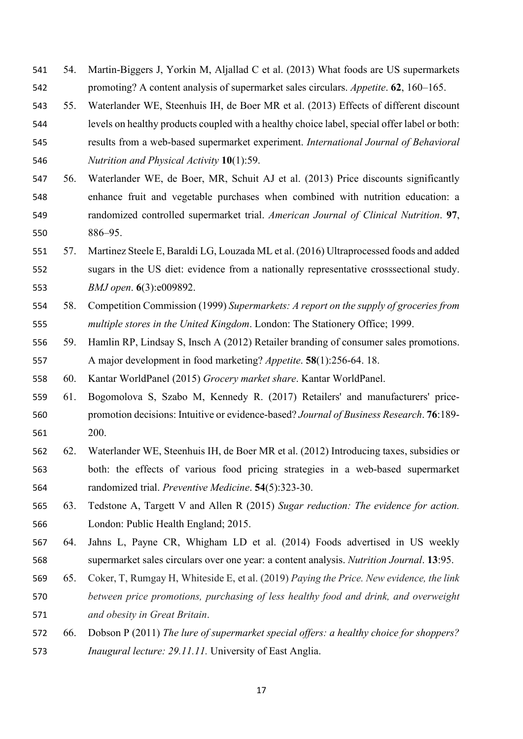- 54. Martin-Biggers J, Yorkin M, Aljallad C et al. (2013) What foods are US supermarkets promoting? A content analysis of supermarket sales circulars. *Appetite*. **62**, 160–165.
- 55. Waterlander WE, Steenhuis IH, de Boer MR et al. (2013) Effects of different discount
- levels on healthy products coupled with a healthy choice label, special offer label or both: results from a web-based supermarket experiment. *International Journal of Behavioral Nutrition and Physical Activity* **10**(1):59.
- 56. Waterlander WE, de Boer, MR, Schuit AJ et al. (2013) Price discounts significantly enhance fruit and vegetable purchases when combined with nutrition education: a randomized controlled supermarket trial. *American Journal of Clinical Nutrition*. **97**, 886–95.
- 57. Martinez Steele E, Baraldi LG, Louzada ML et al. (2016) Ultraprocessed foods and added sugars in the US diet: evidence from a nationally representative crosssectional study. *BMJ open*. **6**(3):e009892.
- 58. Competition Commission (1999) *Supermarkets: A report on the supply of groceries from multiple stores in the United Kingdom*. London: The Stationery Office; 1999.
- 59. Hamlin RP, Lindsay S, Insch A (2012) Retailer branding of consumer sales promotions. A major development in food marketing? *Appetite*. **58**(1):256-64. 18.

60. Kantar WorldPanel (2015) *Grocery market share*. Kantar WorldPanel.

- 61. Bogomolova S, Szabo M, Kennedy R. (2017) Retailers' and manufacturers' price- promotion decisions: Intuitive or evidence-based? *Journal of Business Research*. **76**:189- 200.
- 62. Waterlander WE, Steenhuis IH, de Boer MR et al. (2012) Introducing taxes, subsidies or both: the effects of various food pricing strategies in a web-based supermarket randomized trial. *Preventive Medicine*. **54**(5):323-30.
- 63. Tedstone A, Targett V and Allen R (2015) *Sugar reduction: The evidence for action.* London: Public Health England; 2015.
- 64. Jahns L, Payne CR, Whigham LD et al. (2014) Foods advertised in US weekly supermarket sales circulars over one year: a content analysis. *Nutrition Journal*. **13**:95.
- 65. Coker, T, Rumgay H, Whiteside E, et al. (2019) *Paying the Price. New evidence, the link between price promotions, purchasing of less healthy food and drink, and overweight and obesity in Great Britain*.
- 66. Dobson P (2011) *The lure of supermarket special offers: a healthy choice for shoppers? Inaugural lecture: 29.11.11.* University of East Anglia.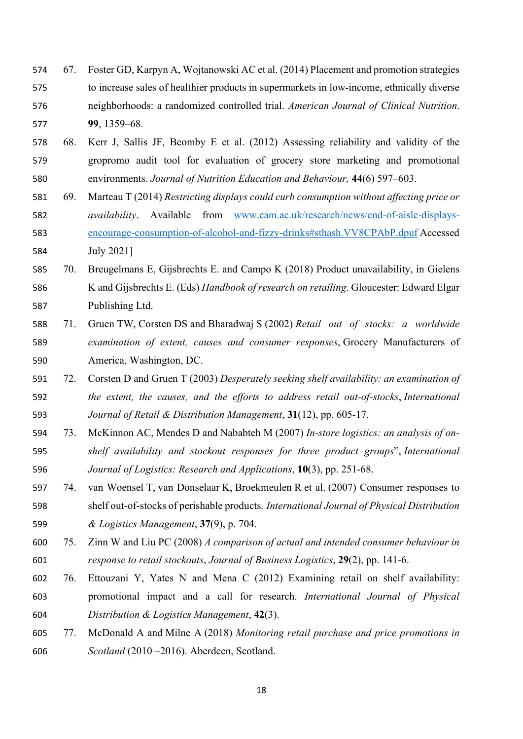- 67. Foster GD, Karpyn A, Wojtanowski AC et al. (2014) Placement and promotion strategies to increase sales of healthier products in supermarkets in low-income, ethnically diverse neighborhoods: a randomized controlled trial. *American Journal of Clinical Nutrition*. **99**, 1359–68.
- 68. Kerr J, Sallis JF, Beomby E et al. (2012) Assessing reliability and validity of the gropromo audit tool for evaluation of grocery store marketing and promotional environments. *Journal of Nutrition Education and Behaviour,* **44**(6) 597–603.
- 69. Marteau T (2014) *Restricting displays could curb consumption without affecting price or availability*. Available from [www.cam.ac.uk/research/news/end-of-aisle-displays-](http://www.cam.ac.uk/research/news/end-of-aisle-displays-encourage-consumption-of-alcohol-and-fizzy-drinks#sthash.VV8CPAbP.dpuf) [encourage-consumption-of-alcohol-and-fizzy-drinks#sthash.VV8CPAbP.dpuf](http://www.cam.ac.uk/research/news/end-of-aisle-displays-encourage-consumption-of-alcohol-and-fizzy-drinks#sthash.VV8CPAbP.dpuf) Accessed July 2021]
- 70. Breugelmans E, Gijsbrechts E. and Campo K (2018) Product unavailability, in Gielens K and Gijsbrechts E. (Eds) *Handbook of research on retailing*. Gloucester: Edward Elgar Publishing Ltd.
- 71. Gruen TW, Corsten DS and Bharadwaj S (2002) *Retail out of stocks: a worldwide examination of extent, causes and consumer responses*, Grocery Manufacturers of America, Washington, DC.
- 72. Corsten D and Gruen T (2003) *Desperately seeking shelf availability: an examination of the extent, the causes, and the efforts to address retail out‐of‐stocks*, *International Journal of Retail & Distribution Management*, **31**(12), pp. 605‐17.
- 73. McKinnon AC, Mendes D and Nababteh M (2007) *In‐store logistics: an analysis of on‐ shelf availability and stockout responses for three product groups*", *International Journal of Logistics: Research and Applications*, **10**(3), pp. 251‐68.
- 74. van Woensel T, van Donselaar K, Broekmeulen R et al. (2007) Consumer responses to shelf out‐of‐stocks of perishable products*, International Journal of Physical Distribution & Logistics Management*, **37**(9), p. 704.
- 75. Zinn W and Liu PC (2008) *A comparison of actual and intended consumer behaviour in response to retail stockouts*, *Journal of Business Logistics*, **29**(2), pp. 141‐6.
- 76. Ettouzani Y, Yates N and Mena C (2012) Examining retail on shelf availability: promotional impact and a call for research. *International Journal of Physical Distribution & Logistics Management*, **42**(3).
- 77. McDonald A and Milne A (2018) *Monitoring retail purchase and price promotions in Scotland* (2010 –2016). Aberdeen, Scotland.